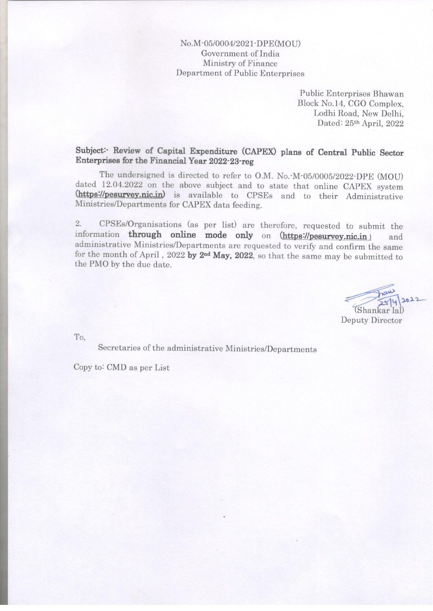## No.M-05/0004/2021-DPE(MOU) Government of India Ministry of Finance Department of Public Enterprises

Public Enterprises Bhawan Block No.14, CGO Complex. Lodhi Road, New Delhi. Dated: 25th April, 2022

Subject: Review of Capital Expenditure (CAPEX) plans of Central Public Sector Enterprises for the Financial Year 2022-23-reg

The undersigned is directed to refer to O.M. No. M-05/0005/2022 DPE (MOU) dated 12.04.2022 on the above subject and to state that online CAPEX system (https://pesurvey.nic.in) is available to CPSEs and to their Administrative Ministries/Departments for CAPEX data feeding.

 $2.$ CPSEs/Organisations (as per list) are therefore, requested to submit the information through online mode only on (https://pesurvey.nic.in) and administrative Ministries/Departments are requested to verify and confirm the same for the month of April, 2022 by 2<sup>nd</sup> May, 2022, so that the same may be submitted to the PMO by the due date.

 $2022$ (Shankar lal) Deputy Director

To.

Secretaries of the administrative Ministries/Departments

Copy to: CMD as per List